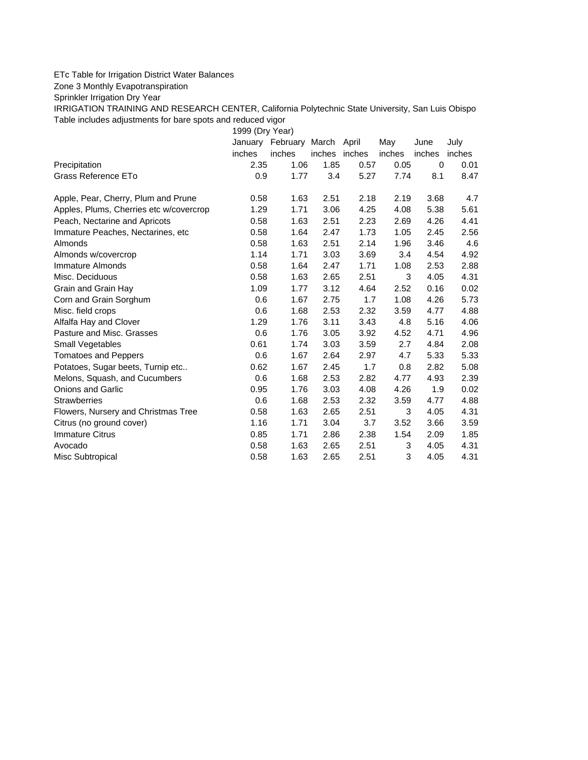## ETc Table for Irrigation District Water Balances

Zone 3 Monthly Evapotranspiration

Sprinkler Irrigation Dry Year

IRRIGATION TRAINING AND RESEARCH CENTER, California Polytechnic State University, San Luis Obispo Table includes adjustments for bare spots and reduced vigor

1999 (Dry Year)

|                                         | January | February March April |               |      | May    | June        | July   |
|-----------------------------------------|---------|----------------------|---------------|------|--------|-------------|--------|
|                                         | inches  | inches               | inches inches |      | inches | inches      | inches |
| Precipitation                           | 2.35    | 1.06                 | 1.85          | 0.57 | 0.05   | $\mathbf 0$ | 0.01   |
| Grass Reference ETo                     | 0.9     | 1.77                 | 3.4           | 5.27 | 7.74   | 8.1         | 8.47   |
| Apple, Pear, Cherry, Plum and Prune     | 0.58    | 1.63                 | 2.51          | 2.18 | 2.19   | 3.68        | 4.7    |
| Apples, Plums, Cherries etc w/covercrop | 1.29    | 1.71                 | 3.06          | 4.25 | 4.08   | 5.38        | 5.61   |
| Peach, Nectarine and Apricots           | 0.58    | 1.63                 | 2.51          | 2.23 | 2.69   | 4.26        | 4.41   |
| Immature Peaches, Nectarines, etc.      | 0.58    | 1.64                 | 2.47          | 1.73 | 1.05   | 2.45        | 2.56   |
| Almonds                                 | 0.58    | 1.63                 | 2.51          | 2.14 | 1.96   | 3.46        | 4.6    |
| Almonds w/covercrop                     | 1.14    | 1.71                 | 3.03          | 3.69 | 3.4    | 4.54        | 4.92   |
| <b>Immature Almonds</b>                 | 0.58    | 1.64                 | 2.47          | 1.71 | 1.08   | 2.53        | 2.88   |
| Misc. Deciduous                         | 0.58    | 1.63                 | 2.65          | 2.51 | 3      | 4.05        | 4.31   |
| Grain and Grain Hay                     | 1.09    | 1.77                 | 3.12          | 4.64 | 2.52   | 0.16        | 0.02   |
| Corn and Grain Sorghum                  | 0.6     | 1.67                 | 2.75          | 1.7  | 1.08   | 4.26        | 5.73   |
| Misc. field crops                       | 0.6     | 1.68                 | 2.53          | 2.32 | 3.59   | 4.77        | 4.88   |
| Alfalfa Hay and Clover                  | 1.29    | 1.76                 | 3.11          | 3.43 | 4.8    | 5.16        | 4.06   |
| Pasture and Misc. Grasses               | 0.6     | 1.76                 | 3.05          | 3.92 | 4.52   | 4.71        | 4.96   |
| Small Vegetables                        | 0.61    | 1.74                 | 3.03          | 3.59 | 2.7    | 4.84        | 2.08   |
| <b>Tomatoes and Peppers</b>             | 0.6     | 1.67                 | 2.64          | 2.97 | 4.7    | 5.33        | 5.33   |
| Potatoes, Sugar beets, Turnip etc       | 0.62    | 1.67                 | 2.45          | 1.7  | 0.8    | 2.82        | 5.08   |
| Melons, Squash, and Cucumbers           | 0.6     | 1.68                 | 2.53          | 2.82 | 4.77   | 4.93        | 2.39   |
| <b>Onions and Garlic</b>                | 0.95    | 1.76                 | 3.03          | 4.08 | 4.26   | 1.9         | 0.02   |
| <b>Strawberries</b>                     | 0.6     | 1.68                 | 2.53          | 2.32 | 3.59   | 4.77        | 4.88   |
| Flowers, Nursery and Christmas Tree     | 0.58    | 1.63                 | 2.65          | 2.51 | 3      | 4.05        | 4.31   |
| Citrus (no ground cover)                | 1.16    | 1.71                 | 3.04          | 3.7  | 3.52   | 3.66        | 3.59   |
| <b>Immature Citrus</b>                  | 0.85    | 1.71                 | 2.86          | 2.38 | 1.54   | 2.09        | 1.85   |
| Avocado                                 | 0.58    | 1.63                 | 2.65          | 2.51 | 3      | 4.05        | 4.31   |
| Misc Subtropical                        | 0.58    | 1.63                 | 2.65          | 2.51 | 3      | 4.05        | 4.31   |